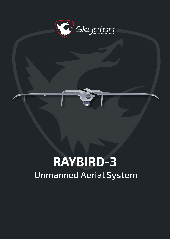

# **RAYBIRD-3** Unmanned Aerial System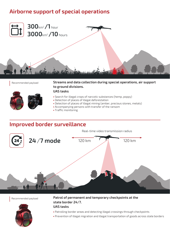# **Airborne support of special operations**



Recommended payload



**Streams and data collection during special operations, air support to ground divisions.**

#### **UAS tasks**

- Search for illegal crops of narcotic substances (hemp, poppy)
- Detection of places of illegal deforestation
- Detection of places of illegal mining (amber, precious stones, metals)
- Accompanying persons with transfer of the ransom
- Traffic monitoring

### **Improved border surveillance**

Real-time video transmission radius **24/7 mode** 120 km 120 km

Recommended payload



**Patrol of permanent and temporary checkpoints at the state border 24/7. UAS tasks**

- Patrolling border areas and detecting illegal crossings through checkpoints
- Prevention of illegal migration and illegal transportation of goods across state borders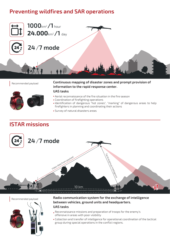# **Preventing wildfires and SAR operations**



Recommended payload



**Continuous mapping of disaster zones and prompt provision of information to the rapid response center. UAS tasks**

- Aerial reconnaissance of the fire situation in the fire season
- Coordination of firefighting operations
- Identification of dangerous "hot zones", "marking" of dangerous areas to help firefighters in planning and coordinating their actions
- Survey of natural disasters areas

# **ISTAR missions**







**Radio communication system for the exchange of intelligence between vehicles, ground units and headquarters. UAS tasks**

- Reconnaissance missions and preparation of troops for the enemy's offensive in areas with poor visibility
- Collection and transfer of intelligence for operational coordination of the tactical group during special operations in the conflict regions.